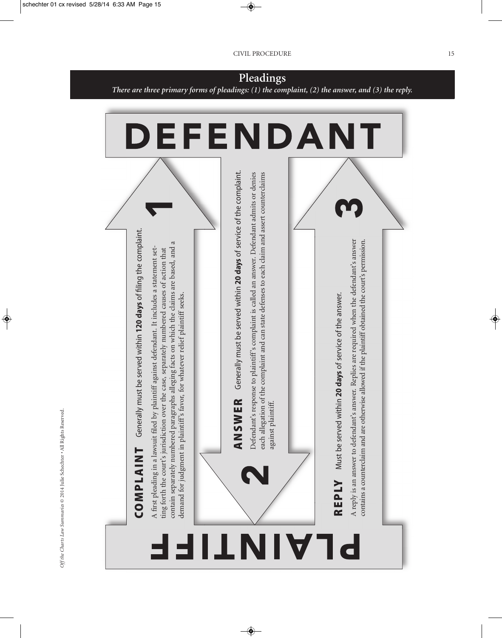

*Off the Charts Law Summaries* © 2014 Julie Schechter • All Rights Reserved.

Off the Charts Law Summaries @ 2014 Julie Schechter . All Rights Reserved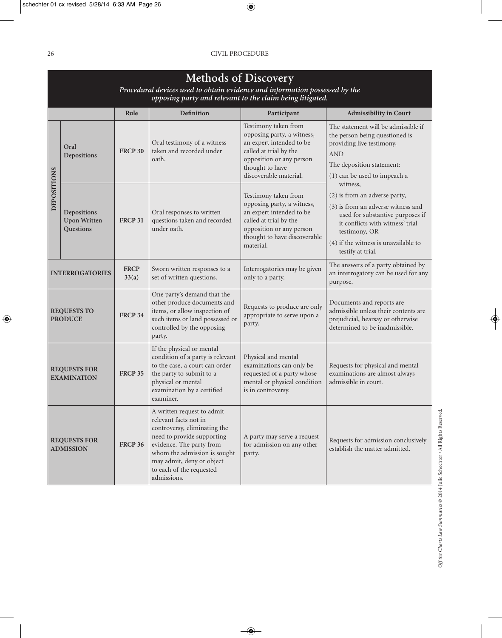|                                           | <b>Methods of Discovery</b><br>Procedural devices used to obtain evidence and information possessed by the<br>opposing party and relevant to the claim being litigated. |                      |                                                                                                                                                                                                                                        |                                                                                                                                                                                   |                                                                                                                                                                                                                                       |  |
|-------------------------------------------|-------------------------------------------------------------------------------------------------------------------------------------------------------------------------|----------------------|----------------------------------------------------------------------------------------------------------------------------------------------------------------------------------------------------------------------------------------|-----------------------------------------------------------------------------------------------------------------------------------------------------------------------------------|---------------------------------------------------------------------------------------------------------------------------------------------------------------------------------------------------------------------------------------|--|
|                                           |                                                                                                                                                                         | Rule                 | <b>Definition</b>                                                                                                                                                                                                                      | Participant                                                                                                                                                                       | <b>Admissibility in Court</b>                                                                                                                                                                                                         |  |
| <b>DEPOSITIONS</b>                        | Oral<br><b>Depositions</b>                                                                                                                                              | <b>FRCP 30</b>       | Oral testimony of a witness<br>taken and recorded under<br>oath.                                                                                                                                                                       | Testimony taken from<br>opposing party, a witness,<br>an expert intended to be<br>called at trial by the<br>opposition or any person<br>thought to have<br>discoverable material. | The statement will be admissible if<br>the person being questioned is<br>providing live testimony,<br><b>AND</b><br>The deposition statement:<br>(1) can be used to impeach a                                                         |  |
|                                           | Depositions<br><b>Upon Written</b><br>Questions                                                                                                                         | <b>FRCP 31</b>       | Oral responses to written<br>questions taken and recorded<br>under oath.                                                                                                                                                               | Testimony taken from<br>opposing party, a witness,<br>an expert intended to be<br>called at trial by the<br>opposition or any person<br>thought to have discoverable<br>material. | witness,<br>(2) is from an adverse party,<br>(3) is from an adverse witness and<br>used for substantive purposes if<br>it conflicts with witness' trial<br>testimony, OR<br>(4) if the witness is unavailable to<br>testify at trial. |  |
| <b>INTERROGATORIES</b>                    |                                                                                                                                                                         | <b>FRCP</b><br>33(a) | Sworn written responses to a<br>set of written questions.                                                                                                                                                                              | Interrogatories may be given<br>only to a party.                                                                                                                                  | The answers of a party obtained by<br>an interrogatory can be used for any<br>purpose.                                                                                                                                                |  |
| <b>REQUESTS TO</b><br><b>PRODUCE</b>      |                                                                                                                                                                         | <b>FRCP 34</b>       | One party's demand that the<br>other produce documents and<br>items, or allow inspection of<br>such items or land possessed or<br>controlled by the opposing<br>party.                                                                 | Requests to produce are only<br>appropriate to serve upon a<br>party.                                                                                                             | Documents and reports are<br>admissible unless their contents are<br>prejudicial, hearsay or otherwise<br>determined to be inadmissible.                                                                                              |  |
| <b>REQUESTS FOR</b><br><b>EXAMINATION</b> |                                                                                                                                                                         | <b>FRCP 35</b>       | If the physical or mental<br>condition of a party is relevant<br>to the case, a court can order<br>the party to submit to a<br>physical or mental<br>examination by a certified<br>examiner.                                           | Physical and mental<br>examinations can only be<br>requested of a party whose<br>mental or physical condition<br>is in controversy.                                               | Requests for physical and mental<br>examinations are almost always<br>admissible in court.                                                                                                                                            |  |
| <b>REQUESTS FOR</b><br><b>ADMISSION</b>   |                                                                                                                                                                         | <b>FRCP 36</b>       | A written request to admit<br>relevant facts not in<br>controversy, eliminating the<br>need to provide supporting<br>evidence. The party from<br>whom the admission is sought<br>may admit, deny or object<br>to each of the requested | A party may serve a request<br>for admission on any other<br>party.                                                                                                               | Requests for admission conclusively<br>establish the matter admitted.                                                                                                                                                                 |  |

admissions.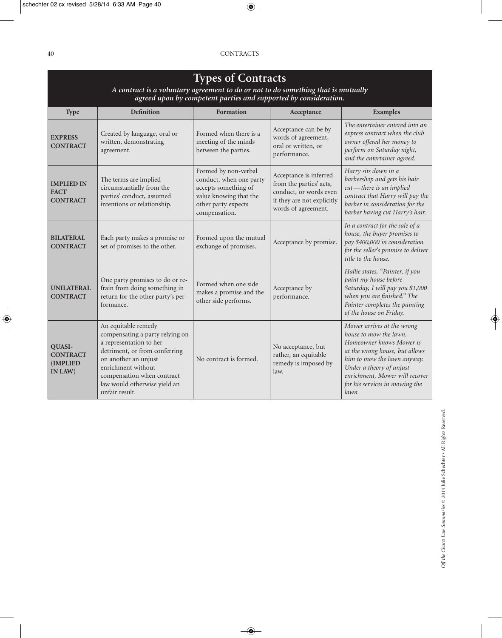| <b>Types of Contracts</b><br>A contract is a voluntary agreement to do or not to do something that is mutually<br>agreed upon by competent parties and supported by consideration. |                                                                                                                                                                                                                                                  |                                                                                                                                           |                                                                                                                                  |                                                                                                                                                                                                                                                            |  |
|------------------------------------------------------------------------------------------------------------------------------------------------------------------------------------|--------------------------------------------------------------------------------------------------------------------------------------------------------------------------------------------------------------------------------------------------|-------------------------------------------------------------------------------------------------------------------------------------------|----------------------------------------------------------------------------------------------------------------------------------|------------------------------------------------------------------------------------------------------------------------------------------------------------------------------------------------------------------------------------------------------------|--|
| <b>Type</b>                                                                                                                                                                        | <b>Definition</b>                                                                                                                                                                                                                                | Formation                                                                                                                                 | Acceptance                                                                                                                       | <b>Examples</b>                                                                                                                                                                                                                                            |  |
| <b>EXPRESS</b><br><b>CONTRACT</b>                                                                                                                                                  | Created by language, oral or<br>written, demonstrating<br>agreement.                                                                                                                                                                             | Formed when there is a<br>meeting of the minds<br>between the parties.                                                                    | Acceptance can be by<br>words of agreement,<br>oral or written, or<br>performance.                                               | The entertainer entered into an<br>express contract when the club<br>owner offered her money to<br>perform on Saturday night,<br>and the entertainer agreed.                                                                                               |  |
| <b>IMPLIED IN</b><br><b>FACT</b><br><b>CONTRACT</b>                                                                                                                                | The terms are implied<br>circumstantially from the<br>parties' conduct, assumed<br>intentions or relationship.                                                                                                                                   | Formed by non-verbal<br>conduct, when one party<br>accepts something of<br>value knowing that the<br>other party expects<br>compensation. | Acceptance is inferred<br>from the parties' acts,<br>conduct, or words even<br>if they are not explicitly<br>words of agreement. | Harry sits down in a<br>barbershop and gets his hair<br>cut-there is an implied<br>contract that Harry will pay the<br>barber in consideration for the<br>barber having cut Harry's hair.                                                                  |  |
| <b>BILATERAL</b><br><b>CONTRACT</b>                                                                                                                                                | Each party makes a promise or<br>set of promises to the other.                                                                                                                                                                                   | Formed upon the mutual<br>exchange of promises.                                                                                           | Acceptance by promise.                                                                                                           | In a contract for the sale of a<br>house, the buyer promises to<br>pay \$400,000 in consideration<br>for the seller's promise to deliver<br>title to the house.                                                                                            |  |
| <b>UNILATERAL</b><br><b>CONTRACT</b>                                                                                                                                               | One party promises to do or re-<br>frain from doing something in<br>return for the other party's per-<br>formance.                                                                                                                               | Formed when one side<br>makes a promise and the<br>other side performs.                                                                   | Acceptance by<br>performance.                                                                                                    | Hallie states, "Painter, if you<br>paint my house before<br>Saturday, I will pay you \$1,000<br>when you are finished." The<br>Painter completes the painting<br>of the house on Friday.                                                                   |  |
| QUASI-<br><b>CONTRACT</b><br><b>(IMPLIED)</b><br>IN LAW)                                                                                                                           | An equitable remedy<br>compensating a party relying on<br>a representation to her<br>detriment, or from conferring<br>on another an unjust<br>enrichment without<br>compensation when contract<br>law would otherwise yield an<br>unfair result. | No contract is formed.                                                                                                                    | No acceptance, but<br>rather, an equitable<br>remedy is imposed by<br>law.                                                       | Mower arrives at the wrong<br>house to mow the lawn.<br>Homeowner knows Mower is<br>at the wrong house, but allows<br>him to mow the lawn anyway.<br>Under a theory of unjust<br>enrichment, Mower will recover<br>for his services in mowing the<br>lawn. |  |

## Off the Charts Law Summaries @ 2014 Julie Schechter . All Rights Reserved. *maries* © 2014 Julie Schechter • All Rights Reserved. *Off the Charts Law Sum*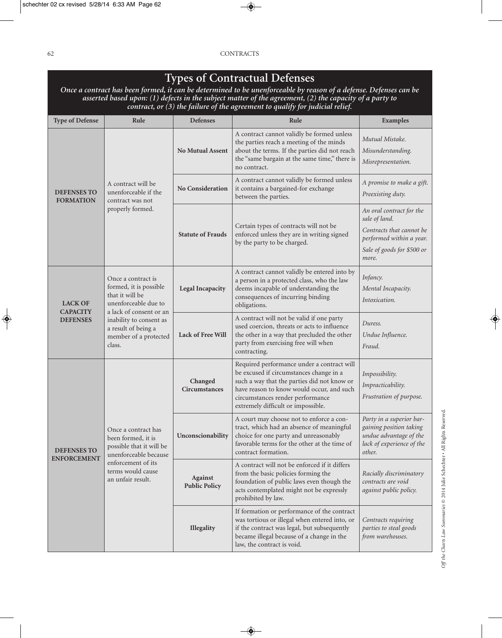## **Types of Contractual Defenses**

Once a contract has been formed, it can be determined to be unenforceable by reason of a defense. Defenses can be asserted based upon: (1) defects in the subject matter of the agreement, (2) the capacity of a party to *contract, or (3) the failure of the agreement to qualify for judicial relief.*

| <b>Type of Defense</b>                 | Rule                                                                                                                                                           | <b>Defenses</b>                 | Rule                                                                                                                                                                                                                                                        | Examples                                                                                                                                 |
|----------------------------------------|----------------------------------------------------------------------------------------------------------------------------------------------------------------|---------------------------------|-------------------------------------------------------------------------------------------------------------------------------------------------------------------------------------------------------------------------------------------------------------|------------------------------------------------------------------------------------------------------------------------------------------|
|                                        |                                                                                                                                                                | No Mutual Assent                | A contract cannot validly be formed unless<br>the parties reach a meeting of the minds<br>about the terms. If the parties did not reach<br>the "same bargain at the same time," there is<br>no contract.                                                    | Mutual Mistake.<br>Misunderstanding.<br>Misrepresentation.                                                                               |
| <b>DEFENSES TO</b><br><b>FORMATION</b> | A contract will be<br>unenforceable if the<br>contract was not<br>properly formed.                                                                             | No Consideration                | A contract cannot validly be formed unless<br>it contains a bargained-for exchange<br>between the parties.                                                                                                                                                  | A promise to make a gift.<br>Preexisting duty.                                                                                           |
|                                        |                                                                                                                                                                | <b>Statute of Frauds</b>        | Certain types of contracts will not be<br>enforced unless they are in writing signed<br>by the party to be charged.                                                                                                                                         | An oral contract for the<br>sale of land.<br>Contracts that cannot be<br>performed within a year.<br>Sale of goods for \$500 or<br>more. |
| <b>LACK OF</b>                         | Once a contract is<br>formed, it is possible<br><b>Legal Incapacity</b><br>that it will be<br>unenforceable due to<br>a lack of consent or an                  |                                 | A contract cannot validly be entered into by<br>a person in a protected class, who the law<br>deems incapable of understanding the<br>consequences of incurring binding<br>obligations.                                                                     | Infancy.<br>Mental Incapacity.<br>Intoxication.                                                                                          |
| <b>CAPACITY</b><br><b>DEFENSES</b>     | inability to consent as<br>a result of being a<br>member of a protected<br>class.                                                                              | <b>Lack of Free Will</b>        | A contract will not be valid if one party<br>used coercion, threats or acts to influence<br>the other in a way that precluded the other<br>party from exercising free will when<br>contracting.                                                             | Duress.<br>Undue Influence.<br>Fraud.                                                                                                    |
|                                        |                                                                                                                                                                | Changed<br><b>Circumstances</b> | Required performance under a contract will<br>be excused if circumstances change in a<br>such a way that the parties did not know or<br>have reason to know would occur, and such<br>circumstances render performance<br>extremely difficult or impossible. | Impossibility.<br>Impracticability.<br>Frustration of purpose.                                                                           |
| DEFENSES TO<br><b>ENFORCEMENT</b>      | Once a contract has<br>been formed, it is<br>possible that it will be<br>unenforceable because<br>enforcement of its<br>terms would cause<br>an unfair result. | Unconscionability               | A court may choose not to enforce a con-<br>tract, which had an absence of meaningful<br>choice for one party and unreasonably<br>favorable terms for the other at the time of<br>contract formation.                                                       | Party in a superior bar-<br>gaining position taking<br>undue advantage of the<br>lack of experience of the<br>other.                     |
|                                        |                                                                                                                                                                | Against<br><b>Public Policy</b> | A contract will not be enforced if it differs<br>from the basic policies forming the<br>foundation of public laws even though the<br>acts contemplated might not be expressly<br>prohibited by law.                                                         | Racially discriminatory<br>contracts are void<br>against public policy.                                                                  |
|                                        |                                                                                                                                                                | Illegality                      | If formation or performance of the contract<br>was tortious or illegal when entered into, or<br>if the contract was legal, but subsequently<br>became illegal because of a change in the<br>law, the contract is void.                                      | Contracts requiring<br>parties to steal goods<br>from warehouses.                                                                        |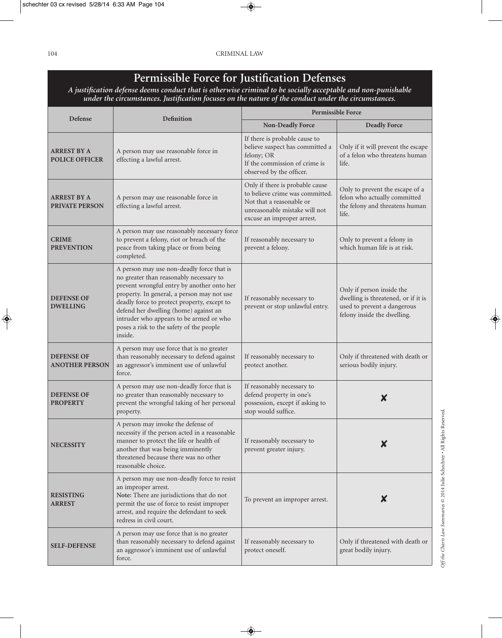## **Permissible Force for Justification Defenses**

*A justification defense deems conduct that is otherwise criminal to be socially acceptable and non-punishable under the circumstances. Justification focuses on the nature of the conduct under the circumstances.*

| Defense                                     | Definition                                                                                                                                                                                                                                                                                                                                                                 | Permissible Force                                                                                                                                             |                                                                                                                                |  |
|---------------------------------------------|----------------------------------------------------------------------------------------------------------------------------------------------------------------------------------------------------------------------------------------------------------------------------------------------------------------------------------------------------------------------------|---------------------------------------------------------------------------------------------------------------------------------------------------------------|--------------------------------------------------------------------------------------------------------------------------------|--|
|                                             |                                                                                                                                                                                                                                                                                                                                                                            | <b>Non-Deadly Force</b>                                                                                                                                       | <b>Deadly Force</b>                                                                                                            |  |
| <b>ARREST BY A</b><br><b>POLICE OFFICER</b> | A person may use reasonable force in<br>effecting a lawful arrest.                                                                                                                                                                                                                                                                                                         | If there is probable cause to<br>believe suspect has committed a<br>felony; OR<br>If the commission of crime is<br>observed by the officer.                   | Only if it will prevent the escape<br>of a felon who threatens human<br>life.                                                  |  |
| <b>ARREST BY A</b><br><b>PRIVATE PERSON</b> | A person may use reasonable force in<br>effecting a lawful arrest.                                                                                                                                                                                                                                                                                                         | Only if there is probable cause<br>to believe crime was committed.<br>Not that a reasonable or<br>unreasonable mistake will not<br>excuse an improper arrest. | Only to prevent the escape of a<br>felon who actually committed<br>the felony and threatens human<br>life.                     |  |
| <b>CRIME</b><br><b>PREVENTION</b>           | A person may use reasonably necessary force<br>to prevent a felony, riot or breach of the<br>peace from taking place or from being<br>completed.                                                                                                                                                                                                                           | If reasonably necessary to<br>prevent a felony.                                                                                                               | Only to prevent a felony in<br>which human life is at risk.                                                                    |  |
| <b>DEFENSE OF</b><br><b>DWELLING</b>        | A person may use non-deadly force that is<br>no greater than reasonably necessary to<br>prevent wrongful entry by another onto her<br>property. In general, a person may not use<br>deadly force to protect property, except to<br>defend her dwelling (home) against an<br>intruder who appears to be armed or who<br>poses a risk to the safety of the people<br>inside. | If reasonably necessary to<br>prevent or stop unlawful entry.                                                                                                 | Only if person inside the<br>dwelling is threatened, or if it is<br>used to prevent a dangerous<br>felony inside the dwelling. |  |
| <b>DEFENSE OF</b><br><b>ANOTHER PERSON</b>  | A person may use force that is no greater<br>than reasonably necessary to defend against<br>an aggressor's imminent use of unlawful<br>force.                                                                                                                                                                                                                              | If reasonably necessary to<br>protect another.                                                                                                                | Only if threatened with death or<br>serious bodily injury.                                                                     |  |
| <b>DEFENSE OF</b><br><b>PROPERTY</b>        | A person may use non-deadly force that is<br>no greater than reasonably necessary to<br>prevent the wrongful taking of her personal<br>property.                                                                                                                                                                                                                           | If reasonably necessary to<br>defend property in one's<br>possession, except if asking to<br>stop would suffice.                                              | X                                                                                                                              |  |
| <b>NECESSITY</b>                            | A person may invoke the defense of<br>necessity if the person acted in a reasonable<br>manner to protect the life or health of<br>another that was being imminently<br>threatened because there was no other<br>reasonable choice.                                                                                                                                         | If reasonably necessary to<br>prevent greater injury.                                                                                                         |                                                                                                                                |  |
| <b>RESISTING</b><br><b>ARREST</b>           | A person may use non-deadly force to resist<br>an improper arrest.<br>Note: There are jurisdictions that do not<br>permit the use of force to resist improper<br>arrest, and require the defendant to seek<br>redress in civil court.                                                                                                                                      | To prevent an improper arrest.                                                                                                                                | X                                                                                                                              |  |
| <b>SELF-DEFENSE</b>                         | A person may use force that is no greater<br>than reasonably necessary to defend against<br>an aggressor's imminent use of unlawful<br>force.                                                                                                                                                                                                                              | If reasonably necessary to<br>protect oneself.                                                                                                                | Only if threatened with death or<br>great bodily injury.                                                                       |  |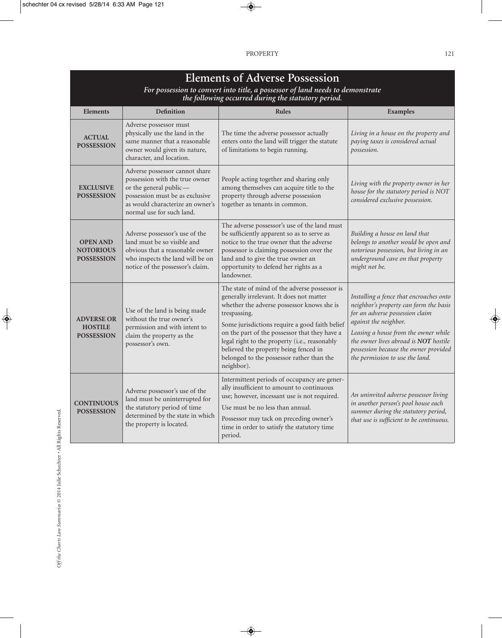| <b>Elements of Adverse Possession</b> |
|---------------------------------------|
|---------------------------------------|

*For possession to convert into title, a possessor of land needs to demonstrate the following occurred during the statutory period.*

| <b>Elements</b>                                          | <b>Definition</b>                                                                                                                                                                              | <b>Rules</b>                                                                                                                                                                                                                                                                                                                                                                                                    | <b>Examples</b>                                                                                                                                                                                                                                                                                            |
|----------------------------------------------------------|------------------------------------------------------------------------------------------------------------------------------------------------------------------------------------------------|-----------------------------------------------------------------------------------------------------------------------------------------------------------------------------------------------------------------------------------------------------------------------------------------------------------------------------------------------------------------------------------------------------------------|------------------------------------------------------------------------------------------------------------------------------------------------------------------------------------------------------------------------------------------------------------------------------------------------------------|
| <b>ACTUAL</b><br><b>POSSESSION</b>                       | Adverse possessor must<br>physically use the land in the<br>same manner that a reasonable<br>owner would given its nature,<br>character, and location.                                         | The time the adverse possessor actually<br>enters onto the land will trigger the statute<br>of limitations to begin running.                                                                                                                                                                                                                                                                                    | Living in a house on the property and<br>paying taxes is considered actual<br>possession.                                                                                                                                                                                                                  |
| <b>EXCLUSIVE</b><br><b>POSSESSION</b>                    | Adverse possessor cannot share<br>possession with the true owner<br>or the general public-<br>possession must be as exclusive<br>as would characterize an owner's<br>normal use for such land. | People acting together and sharing only<br>among themselves can acquire title to the<br>property through adverse possession<br>together as tenants in common.                                                                                                                                                                                                                                                   | Living with the property owner in her<br>house for the statutory period is NOT<br>considered exclusive possession.                                                                                                                                                                                         |
| <b>OPEN AND</b><br><b>NOTORIOUS</b><br><b>POSSESSION</b> | Adverse possessor's use of the<br>land must be so visible and<br>obvious that a reasonable owner<br>who inspects the land will be on<br>notice of the possessor's claim.                       | The adverse possessor's use of the land must<br>be sufficiently apparent so as to serve as<br>notice to the true owner that the adverse<br>possessor is claiming possession over the<br>land and to give the true owner an<br>opportunity to defend her rights as a<br>landowner.                                                                                                                               | Building a house on land that<br>belongs to another would be open and<br>notorious possession, but living in an<br>underground cave on that property<br>might not be.                                                                                                                                      |
| <b>ADVERSE OR</b><br><b>HOSTILE</b><br><b>POSSESSION</b> | Use of the land is being made<br>without the true owner's<br>permission and with intent to<br>claim the property as the<br>possessor's own.                                                    | The state of mind of the adverse possessor is<br>generally irrelevant. It does not matter<br>whether the adverse possessor knows she is<br>trespassing.<br>Some jurisdictions require a good faith belief<br>on the part of the possessor that they have a<br>legal right to the property (i.e., reasonably<br>believed the property being fenced in<br>belonged to the possessor rather than the<br>neighbor). | Installing a fence that encroaches onto<br>neighbor's property can form the basis<br>for an adverse possession claim<br>against the neighbor.<br>Leasing a house from the owner while<br>the owner lives abroad is NOT hostile<br>possession because the owner provided<br>the permission to use the land. |
| <b>CONTINUOUS</b><br><b>POSSESSION</b>                   | Adverse possessor's use of the<br>land must be uninterrupted for<br>the statutory period of time<br>determined by the state in which<br>the property is located.                               | Intermittent periods of occupancy are gener-<br>ally insufficient to amount to continuous<br>use; however, incessant use is not required.<br>Use must be no less than annual.<br>Possessor may tack on preceding owner's<br>time in order to satisfy the statutory time<br>period.                                                                                                                              | An uninvited adverse possessor living<br>in another person's pool house each<br>summer during the statutory period,<br>that use is sufficient to be continuous.                                                                                                                                            |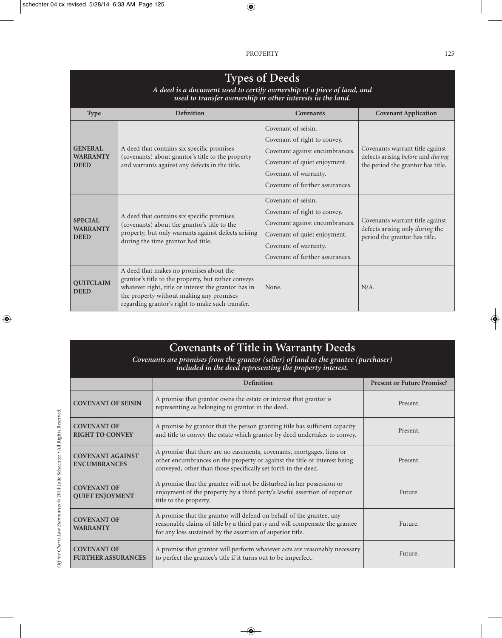| <b>Types of Deeds</b><br>A deed is a document used to certify ownership of a piece of land, and<br>used to transfer ownership or other interests in the land. |                                                                                                                                                                                                                                                        |                                                                                                                                                                                   |                                                                                                           |  |  |  |
|---------------------------------------------------------------------------------------------------------------------------------------------------------------|--------------------------------------------------------------------------------------------------------------------------------------------------------------------------------------------------------------------------------------------------------|-----------------------------------------------------------------------------------------------------------------------------------------------------------------------------------|-----------------------------------------------------------------------------------------------------------|--|--|--|
| <b>Type</b>                                                                                                                                                   | <b>Definition</b>                                                                                                                                                                                                                                      | Covenants                                                                                                                                                                         | <b>Covenant Application</b>                                                                               |  |  |  |
| <b>GENERAL</b><br><b>WARRANTY</b><br><b>DEED</b>                                                                                                              | A deed that contains six specific promises<br>(covenants) about grantor's title to the property<br>and warrants against any defects in the title.                                                                                                      | Covenant of seisin.<br>Covenant of right to convey.<br>Covenant against encumbrances.<br>Covenant of quiet enjoyment.<br>Covenant of warranty.<br>Covenant of further assurances. | Covenants warrant title against<br>defects arising before and during<br>the period the grantor has title. |  |  |  |
| <b>SPECIAL</b><br><b>WARRANTY</b><br><b>DEED</b>                                                                                                              | A deed that contains six specific promises<br>(covenants) about the grantor's title to the<br>property, but only warrants against defects arising<br>during the time grantor had title.                                                                | Covenant of seisin.<br>Covenant of right to convey.<br>Covenant against encumbrances.<br>Covenant of quiet enjoyment.<br>Covenant of warranty.<br>Covenant of further assurances. | Covenants warrant title against<br>defects arising only during the<br>period the grantor has title.       |  |  |  |
| <b>OUITCLAIM</b><br><b>DEED</b>                                                                                                                               | A deed that makes no promises about the<br>grantor's title to the property, but rather conveys<br>whatever right, title or interest the grantor has in<br>the property without making any promises<br>regarding grantor's right to make such transfer. | None.                                                                                                                                                                             | $N/A$ .                                                                                                   |  |  |  |

| <b>Covenants of Title in Warranty Deeds</b><br>Covenants are promises from the grantor (seller) of land to the grantee (purchaser)<br>included in the deed representing the property interest. |                                                                                                                                                                                                                      |                                   |  |  |
|------------------------------------------------------------------------------------------------------------------------------------------------------------------------------------------------|----------------------------------------------------------------------------------------------------------------------------------------------------------------------------------------------------------------------|-----------------------------------|--|--|
|                                                                                                                                                                                                | <b>Definition</b>                                                                                                                                                                                                    | <b>Present or Future Promise?</b> |  |  |
| <b>COVENANT OF SEISIN</b>                                                                                                                                                                      | A promise that grantor owns the estate or interest that grantor is<br>representing as belonging to grantor in the deed.                                                                                              | Present.                          |  |  |
| <b>COVENANT OF</b><br><b>RIGHT TO CONVEY</b>                                                                                                                                                   | A promise by grantor that the person granting title has sufficient capacity<br>and title to convey the estate which grantor by deed undertakes to convey.                                                            | Present.                          |  |  |
| <b>COVENANT AGAINST</b><br><b>ENCUMBRANCES</b>                                                                                                                                                 | A promise that there are no easements, covenants, mortgages, liens or<br>other encumbrances on the property or against the title or interest being<br>conveyed, other than those specifically set forth in the deed. | Present.                          |  |  |
| <b>COVENANT OF</b><br><b>QUIET ENJOYMENT</b>                                                                                                                                                   | A promise that the grantee will not be disturbed in her possession or<br>enjoyment of the property by a third party's lawful assertion of superior<br>title to the property.                                         | Future.                           |  |  |
| <b>COVENANT OF</b><br><b>WARRANTY</b>                                                                                                                                                          | A promise that the grantor will defend on behalf of the grantee, any<br>reasonable claims of title by a third party and will compensate the grantee<br>for any loss sustained by the assertion of superior title.    | Future.                           |  |  |
| <b>COVENANT OF</b><br><b>FURTHER ASSURANCES</b>                                                                                                                                                | A promise that grantor will perform whatever acts are reasonably necessary<br>to perfect the grantee's title if it turns out to be imperfect.                                                                        | Future.                           |  |  |